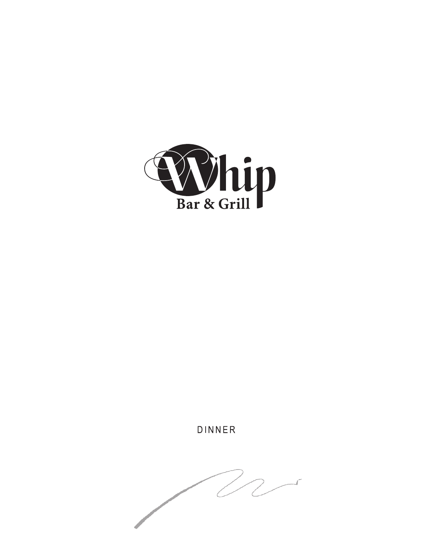

DINNER

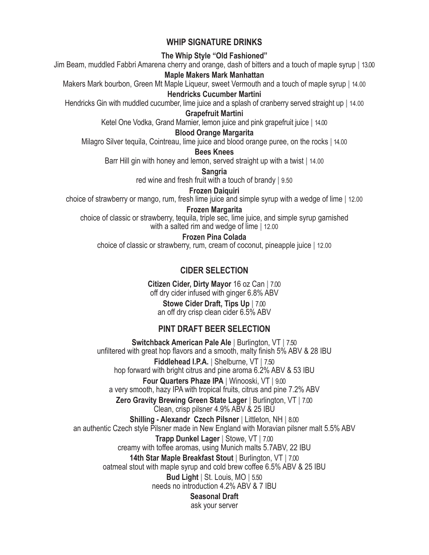## **WHIP SIGNATURE DRINKS**

**The Whip Style "Old Fashioned"**

Jim Beam, muddled Fabbri Amarena cherry and orange, dash of bitters and a touch of maple syrup **|** 13.00

### **Maple Makers Mark Manhattan**

Makers Mark bourbon, Green Mt Maple Liqueur, sweet Vermouth and a touch of maple syrup **|** 14.00

### **Hendricks Cucumber Martini**

Hendricks Gin with muddled cucumber, lime juice and a splash of cranberry served straight up **|** 14.00

## **Grapefruit Martini**

Ketel One Vodka, Grand Marnier, lemon juice and pink grapefruit juice **|** 14.00

### **Blood Orange Margarita**

Milagro Silver tequila, Cointreau, lime juice and blood orange puree, on the rocks **|** 14.00

**Bees Knees**

Barr Hill gin with honey and lemon, served straight up with a twist **|** 14.00

**Sangria**

red wine and fresh fruit with a touch of brandy **|** 9.50

**Frozen Daiquiri** choice of strawberry or mango, rum, fresh lime juice and simple syrup with a wedge of lime **|** 12.00

**Frozen Margarita**

choice of classic or strawberry, tequila, triple sec, lime juice, and simple syrup garnished with a salted rim and wedge of lime **|** 12.00

## **Frozen Pina Colada**

choice of classic or strawberry, rum, cream of coconut, pineapple juice **|** 12.00

# **CIDER SELECTION**

**Citizen Cider, Dirty Mayor** 16 oz Can **|** 7.00 off dry cider infused with ginger 6.8% ABV **Stowe Cider Draft, Tips Up |** 7.00 an off dry crisp clean cider 6.5% ABV

# **PINT DRAFT BEER SELECTION**

**Switchback American Pale Ale |** Burlington, VT **|** 7.50 unfiltered with great hop flavors and a smooth, malty finish 5% ABV & 28 IBU **Fiddlehead I.P.A. |** Shelburne, VT **|** 7.50 hop forward with bright citrus and pine aroma 6.2% ABV & 53 IBU **Four Quarters Phaze IPA |** Winooski, VT **|** 9.00 a very smooth, hazy IPA with tropical fruits, citrus and pine 7.2% ABV **Zero Gravity Brewing Green State Lager |** Burlington, VT **|** 7.00 Clean, crisp pilsner 4.9% ABV & 25 IBU **Shilling - Alexandr Czech Pilsner |** Littleton, NH **|** 8.00 an authentic Czech style Pilsner made in New England with Moravian pilsner malt 5.5% ABV **Trapp Dunkel Lager |** Stowe, VT **|** 7.00 creamy with toffee aromas, using Munich malts 5.7ABV, 22 IBU **14th Star Maple Breakfast Stout |** Burlington, VT **|** 7.00 oatmeal stout with maple syrup and cold brew coffee 6.5% ABV & 25 IBU **Bud Light |** St. Louis, MO **|** 5.50

needs no introduction 4.2% ABV & 7 IBU

#### **Seasonal Draft** ask your server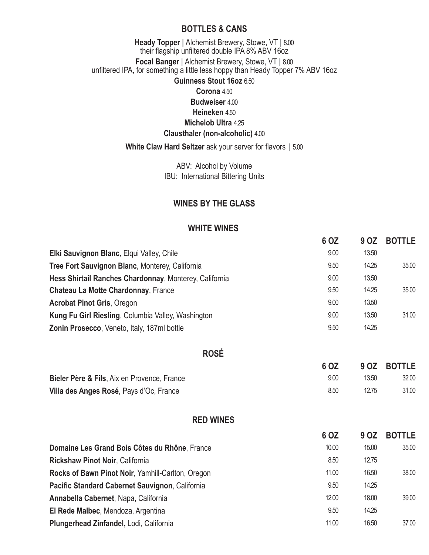### **BOTTLES & CANS**

### **Heady Topper |** Alchemist Brewery, Stowe, VT **|** 8.00 their flagship unfiltered double IPA 8% ABV 16oz **Focal Banger |** Alchemist Brewery, Stowe, VT **|** 8.00 unfiltered IPA, for something a little less hoppy than Heady Topper 7% ABV 16oz **Guinness Stout 16oz** 6.50

### **Corona** 4.50 **Budweiser** 4.00

**Heineken** 4.50

# **Michelob Ultra** 4.25

# **Clausthaler (non-alcoholic)** 4.00

**White Claw Hard Seltzer** ask your server for flavors **|** 5.00

ABV: Alcohol by Volume IBU: International Bittering Units

## **WINES BY THE GLASS**

## **WHITE WINES**

|                                                        | 6 OZ | 9 OZ  | <b>BOTTLE</b> |
|--------------------------------------------------------|------|-------|---------------|
| Elki Sauvignon Blanc, Elqui Valley, Chile              | 9.00 | 13.50 |               |
| Tree Fort Sauvignon Blanc, Monterey, California        | 9.50 | 14.25 | 35.00         |
| Hess Shirtail Ranches Chardonnay, Monterey, California | 9.00 | 13.50 |               |
| <b>Chateau La Motte Chardonnay, France</b>             | 9.50 | 14.25 | 35.00         |
| <b>Acrobat Pinot Gris, Oregon</b>                      | 9.00 | 13.50 |               |
| Kung Fu Girl Riesling, Columbia Valley, Washington     | 9.00 | 13.50 | 31.00         |
| Zonin Prosecco, Veneto, Italy, 187ml bottle            | 9.50 | 14.25 |               |
|                                                        |      |       |               |

**ROSÉ**

|                                             | 6 OZ |       | 9 OZ BOTTLE |
|---------------------------------------------|------|-------|-------------|
| Bieler Père & Fils, Aix en Provence, France | 9.00 | 13.50 | 32.00       |
| Villa des Anges Rosé, Pays d'Oc, France     | 8.50 | 12.75 | 31.00       |

## **RED WINES**

|                                                   | 6 OZ  | 9 OZ  | <b>BOTTLE</b> |
|---------------------------------------------------|-------|-------|---------------|
| Domaine Les Grand Bois Côtes du Rhône, France     | 10.00 | 15.00 | 35.00         |
| <b>Rickshaw Pinot Noir, California</b>            | 8.50  | 12.75 |               |
| Rocks of Bawn Pinot Noir, Yamhill-Carlton, Oregon | 11.00 | 16.50 | 38.00         |
| Pacific Standard Cabernet Sauvignon, California   | 9.50  | 14.25 |               |
| Annabella Cabernet, Napa, California              | 12.00 | 18.00 | 39.00         |
| El Rede Malbec, Mendoza, Argentina                | 9.50  | 14.25 |               |
| Plungerhead Zinfandel, Lodi, California           | 11.00 | 16.50 | 37.00         |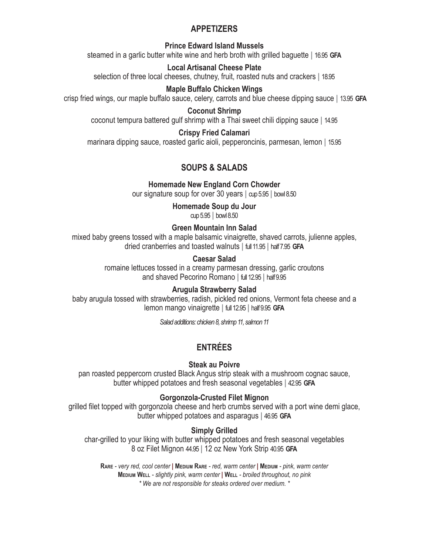## **APPETIZERS**

#### **Prince Edward Island Mussels**

steamed in a garlic butter white wine and herb broth with grilled baguette **|** 16.95 **GFA**

### **Local Artisanal Cheese Plate**

selection of three local cheeses, chutney, fruit, roasted nuts and crackers **|** 18.95

### **Maple Buffalo Chicken Wings**

crisp fried wings, our maple buffalo sauce, celery, carrots and blue cheese dipping sauce **|** 13.95 **GFA**

**Coconut Shrimp**

coconut tempura battered gulf shrimp with a Thai sweet chili dipping sauce **|** 14.95

### **Crispy Fried Calamari**

marinara dipping sauce, roasted garlic aioli, pepperoncinis, parmesan, lemon **|** 15.95

## **SOUPS & SALADS**

### **Homemade New England Corn Chowder**

our signature soup for over 30 years **|** cup 5.95 **|** bowl 8.50

# **Homemade Soup du Jour**

cup 5.95 **|** bowl 8.50

### **Green Mountain Inn Salad**

mixed baby greens tossed with a maple balsamic vinaigrette, shaved carrots, julienne apples, dried cranberries and toasted walnuts **|** full 11.95 **|** half 7.95 **GFA**

### **Caesar Salad**

romaine lettuces tossed in a creamy parmesan dressing, garlic croutons and shaved Pecorino Romano **|** full 12.95 **|** half 9.95

### **Arugula Strawberry Salad**

baby arugula tossed with strawberries, radish, pickled red onions, Vermont feta cheese and a lemon mango vinaigrette **|** full 12.95 **|** half 9.95 **GFA**

*Salad additions: chicken 8, shrimp 11, salmon 11*

# **ENTRÉES**

### **Steak au Poivre**

pan roasted peppercorn crusted Black Angus strip steak with a mushroom cognac sauce, butter whipped potatoes and fresh seasonal vegetables **|** 42.95 **GFA**

### **Gorgonzola-Crusted Filet Mignon**

grilled filet topped with gorgonzola cheese and herb crumbs served with a port wine demi glace, butter whipped potatoes and asparagus **|** 46.95 **GFA**

## **Simply Grilled**

char-grilled to your liking with butter whipped potatoes and fresh seasonal vegetables 8 oz Filet Mignon 44.95 **|** 12 oz New York Strip 40.95 **GFA**

**Rare** *- very red, cool center* **| Medium Rare** *- red, warm center* **| Medium** *- pink, warm center* **Medium Well** *- slightly pink, warm center* **| Well** *- broiled throughout, no pink \* We are not responsible for steaks ordered over medium. \**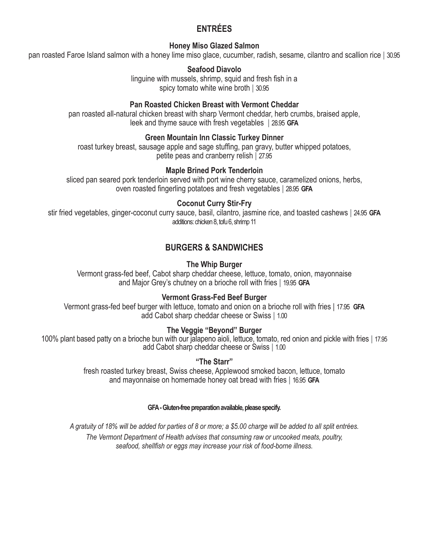# **ENTRÉES**

### **Honey Miso Glazed Salmon**

pan roasted Faroe Island salmon with a honey lime miso glace, cucumber, radish, sesame, cilantro and scallion rice **|** 30.95

**Seafood Diavolo**

linguine with mussels, shrimp, squid and fresh fish in a spicy tomato white wine broth **|** 30.95

#### **Pan Roasted Chicken Breast with Vermont Cheddar**

pan roasted all-natural chicken breast with sharp Vermont cheddar, herb crumbs, braised apple, leek and thyme sauce with fresh vegetables **|** 28.95 **GFA**

#### **Green Mountain Inn Classic Turkey Dinner**

roast turkey breast, sausage apple and sage stuffing, pan gravy, butter whipped potatoes, petite peas and cranberry relish **|** 27.95

### **Maple Brined Pork Tenderloin**

sliced pan seared pork tenderloin served with port wine cherry sauce, caramelized onions, herbs, oven roasted fingerling potatoes and fresh vegetables **|** 28.95 **GFA**

### **Coconut Curry Stir-Fry**

stir fried vegetables, ginger-coconut curry sauce, basil, cilantro, jasmine rice, and toasted cashews **|** 24.95 **GFA** additions: chicken 8, tofu 6, shrimp 11

## **BURGERS & SANDWICHES**

### **The Whip Burger**

Vermont grass-fed beef, Cabot sharp cheddar cheese, lettuce, tomato, onion, mayonnaise and Major Grey's chutney on a brioche roll with fries **|** 19.95 **GFA**

#### **Vermont Grass-Fed Beef Burger**

Vermont grass-fed beef burger with lettuce, tomato and onion on a brioche roll with fries | 17.95 **GFA** add Cabot sharp cheddar cheese or Swiss **|** 1.00

#### **The Veggie "Beyond" Burger**

100% plant based patty on a brioche bun with our jalapeno aioli, lettuce, tomato, red onion and pickle with fries **|** 17.95 add Cabot sharp cheddar cheese or Swiss **|** 1.00

### **"The Starr"**

fresh roasted turkey breast, Swiss cheese, Applewood smoked bacon, lettuce, tomato and mayonnaise on homemade honey oat bread with fries **|** 16.95 **GFA**

#### **GFA - Gluten-free preparation available, please specify.**

*A gratuity of 18% will be added for parties of 8 or more; a \$5.00 charge will be added to all split entrées.*

*The Vermont Department of Health advises that consuming raw or uncooked meats, poultry, seafood, shellfish or eggs may increase your risk of food-borne illness.*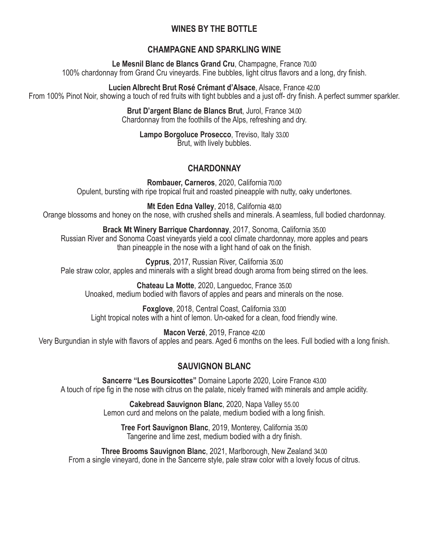# **WINES BY THE BOTTLE**

## **CHAMPAGNE AND SPARKLING WINE**

**Le Mesnil Blanc de Blancs Grand Cru**, Champagne, France 70.00 100% chardonnay from Grand Cru vineyards. Fine bubbles, light citrus flavors and a long, dry finish.

**Lucien Albrecht Brut Rosé Crémant d'Alsace**, Alsace, France 42.00 From 100% Pinot Noir, showing a touch of red fruits with tight bubbles and a just off- dry finish. A perfect summer sparkler.

> **Brut D'argent Blanc de Blancs Brut**, Jurol, France 34.00 Chardonnay from the foothills of the Alps, refreshing and dry.

**Lampo Borgoluce Prosecco**, Treviso, Italy 33.00 Brut, with lively bubbles.

# **CHARDONNAY**

**Rombauer, Carneros**, 2020, California 70.00 Opulent, bursting with ripe tropical fruit and roasted pineapple with nutty, oaky undertones.

**Mt Eden Edna Valley**, 2018, California 48.00 Orange blossoms and honey on the nose, with crushed shells and minerals. A seamless, full bodied chardonnay.

**Brack Mt Winery Barrique Chardonnay**, 2017, Sonoma, California 35.00 Russian River and Sonoma Coast vineyards yield a cool climate chardonnay, more apples and pears than pineapple in the nose with a light hand of oak on the finish.

**Cyprus**, 2017, Russian River, California 35.00 Pale straw color, apples and minerals with a slight bread dough aroma from being stirred on the lees.

**Chateau La Motte**, 2020, Languedoc, France 35.00 Unoaked, medium bodied with flavors of apples and pears and minerals on the nose.

**Foxglove**, 2018, Central Coast, California 33.00 Light tropical notes with a hint of lemon. Un-oaked for a clean, food friendly wine.

**Macon Verzé**, 2019, France 42.00 Very Burgundian in style with flavors of apples and pears. Aged 6 months on the lees. Full bodied with a long finish.

# **SAUVIGNON BLANC**

**Sancerre "Les Boursicottes"** Domaine Laporte 2020, Loire France 43.00 A touch of ripe fig in the nose with citrus on the palate, nicely framed with minerals and ample acidity.

> **Cakebread Sauvignon Blanc**, 2020, Napa Valley 55.00 Lemon curd and melons on the palate, medium bodied with a long finish.

**Tree Fort Sauvignon Blanc**, 2019, Monterey, California 35.00 Tangerine and lime zest, medium bodied with a dry finish.

**Three Brooms Sauvignon Blanc**, 2021, Marlborough, New Zealand 34.00 From a single vineyard, done in the Sancerre style, pale straw color with a lovely focus of citrus.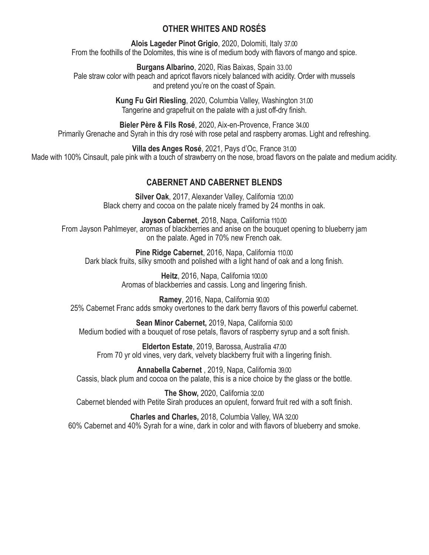## **OTHER WHITES AND ROSÉS**

**Alois Lageder Pinot Grigio**, 2020, Dolomiti, Italy 37.00 From the foothills of the Dolomites, this wine is of medium body with flavors of mango and spice.

**Burgans Albarino**, 2020, Rias Baixas, Spain 33.00 Pale straw color with peach and apricot flavors nicely balanced with acidity. Order with mussels and pretend you're on the coast of Spain.

> **Kung Fu Girl Riesling**, 2020, Columbia Valley, Washington 31.00 Tangerine and grapefruit on the palate with a just off-dry finish.

**Bieler Père & Fils Rosé**, 2020, Aix-en-Provence, France 34.00 Primarily Grenache and Syrah in this dry rosé with rose petal and raspberry aromas. Light and refreshing.

**Villa des Anges Rosé**, 2021, Pays d'Oc, France 31.00 Made with 100% Cinsault, pale pink with a touch of strawberry on the nose, broad flavors on the palate and medium acidity.

# **CABERNET AND CABERNET BLENDS**

**Silver Oak**, 2017, Alexander Valley, California 120.00 Black cherry and cocoa on the palate nicely framed by 24 months in oak.

**Jayson Cabernet**, 2018, Napa, California 110.00 From Jayson Pahlmeyer, aromas of blackberries and anise on the bouquet opening to blueberry jam on the palate. Aged in 70% new French oak.

**Pine Ridge Cabernet**, 2016, Napa, California 110.00 Dark black fruits, silky smooth and polished with a light hand of oak and a long finish.

> **Heitz**, 2016, Napa, California 100.00 Aromas of blackberries and cassis. Long and lingering finish.

**Ramey**, 2016, Napa, California 90.00 25% Cabernet Franc adds smoky overtones to the dark berry flavors of this powerful cabernet.

**Sean Minor Cabernet,** 2019, Napa, California 50.00 Medium bodied with a bouquet of rose petals, flavors of raspberry syrup and a soft finish.

**Elderton Estate**, 2019, Barossa, Australia 47.00 From 70 yr old vines, very dark, velvety blackberry fruit with a lingering finish.

**Annabella Cabernet** , 2019, Napa, California 39.00 Cassis, black plum and cocoa on the palate, this is a nice choice by the glass or the bottle.

**The Show,** 2020, California 32.00 Cabernet blended with Petite Sirah produces an opulent, forward fruit red with a soft finish.

**Charles and Charles,** 2018, Columbia Valley, WA 32.00 60% Cabernet and 40% Syrah for a wine, dark in color and with flavors of blueberry and smoke.